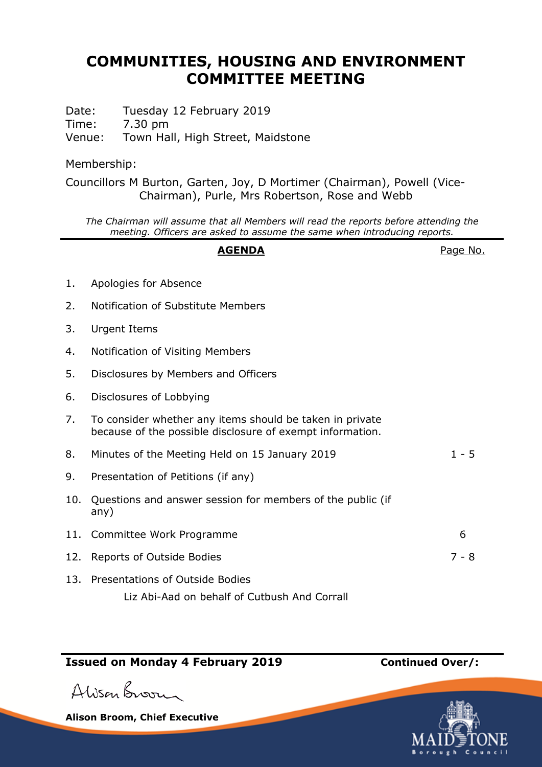## **COMMUNITIES, HOUSING AND ENVIRONMENT COMMITTEE MEETING**

Date: Tuesday 12 February 2019 Time: 7.30 pm Venue: Town Hall, High Street, Maidstone

Membership:

Councillors M Burton, Garten, Joy, D Mortimer (Chairman), Powell (Vice-Chairman), Purle, Mrs Robertson, Rose and Webb

*The Chairman will assume that all Members will read the reports before attending the meeting. Officers are asked to assume the same when introducing reports.*

## AGENDA **AGENDA**Page No.

1. Apologies for Absence 2. Notification of Substitute Members 3. Urgent Items 4. Notification of Visiting Members 5. Disclosures by Members and Officers 6. Disclosures of Lobbying 7. To consider whether any items should be taken in private because of the possible disclosure of exempt information. 8. Minutes of the Meeting Held on 15 January 2019 1 - 5 9. Presentation of Petitions (if any) 10. Questions and answer session for members of the public (if any) 11. Committee Work Programme 6 12. Reports of Outside Bodies 7 - 8 13. Presentations of Outside Bodies

Liz Abi-Aad on behalf of Cutbush And Corrall

## **Issued on Monday 4 February 2019 Continued Over/:**

Alison Broom

**Alison Broom, Chief Executive**